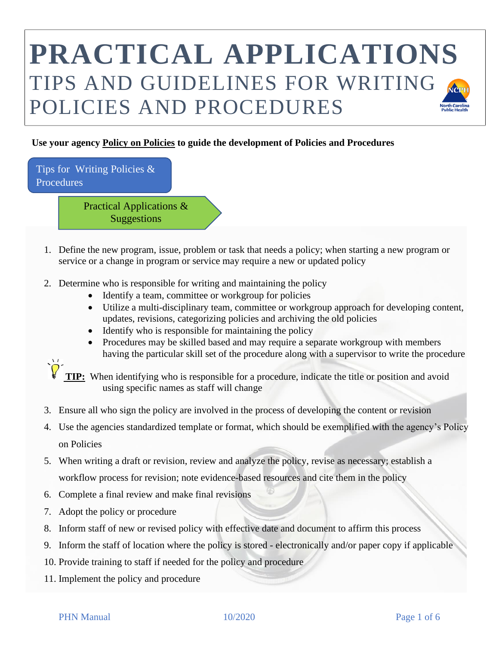#### **Use your agency Policy on Policies to guide the development of Policies and Procedures**

Tips for Writing Policies & **Procedures** 

> Practical Applications & Suggestions

- 1. Define the new program, issue, problem or task that needs a policy; when starting a new program or service or a change in program or service may require a new or updated policy
- 2. Determine who is responsible for writing and maintaining the policy
	- Identify a team, committee or workgroup for policies
	- Utilize a multi-disciplinary team, committee or workgroup approach for developing content, updates, revisions, categorizing policies and archiving the old policies
	- Identify who is responsible for maintaining the policy
	- Procedures may be skilled based and may require a separate workgroup with members having the particular skill set of the procedure along with a supervisor to write the procedure



- 3. Ensure all who sign the policy are involved in the process of developing the content or revision
- 4. Use the agencies standardized template or format, which should be exemplified with the agency's Policy on Policies
- 5. When writing a draft or revision, review and analyze the policy, revise as necessary; establish a workflow process for revision; note evidence-based resources and cite them in the policy
- 6. Complete a final review and make final revisions
- 7. Adopt the policy or procedure
- 8. Inform staff of new or revised policy with effective date and document to affirm this process
- 9. Inform the staff of location where the policy is stored electronically and/or paper copy if applicable
- 10. Provide training to staff if needed for the policy and procedure
- 11. Implement the policy and procedure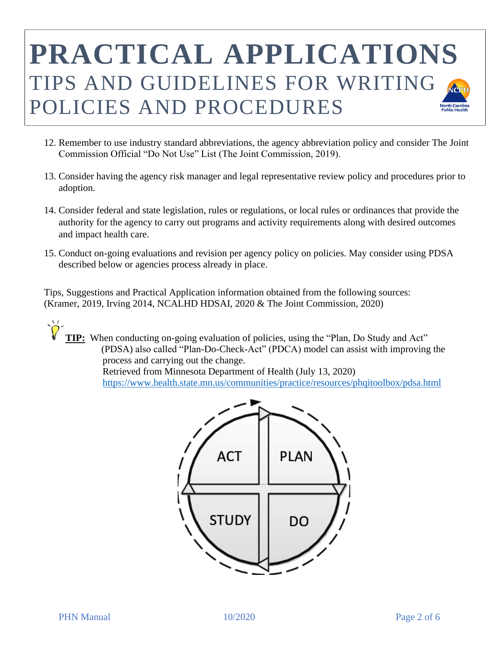- 12. Remember to use industry standard abbreviations, the agency abbreviation policy and consider The Joint Commission Official "Do Not Use" List (The Joint Commission, 2019).
- 13. Consider having the agency risk manager and legal representative review policy and procedures prior to adoption.
- 14. Consider federal and state legislation, rules or regulations, or local rules or ordinances that provide the authority for the agency to carry out programs and activity requirements along with desired outcomes and impact health care.
- 15. Conduct on-going evaluations and revision per agency policy on policies. May consider using PDSA described below or agencies process already in place.

 Tips, Suggestions and Practical Application information obtained from the following sources: (Kramer, 2019, Irving 2014, NCALHD HDSAI, 2020 & The Joint Commission, 2020)

 **TIP:** When conducting on-going evaluation of policies, using the "Plan, Do Study and Act" (PDSA) also called "Plan-Do-Check-Act" (PDCA) model can assist with improving the process and carrying out the change. Retrieved from Minnesota Department of Health (July 13, 2020) <https://www.health.state.mn.us/communities/practice/resources/phqitoolbox/pdsa.html>

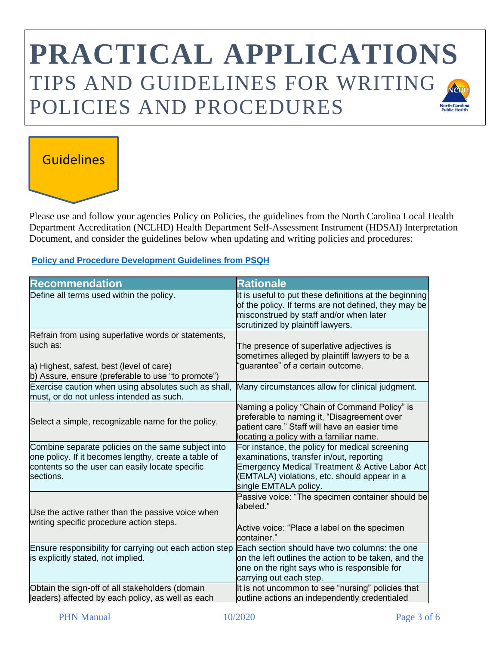#### Guidelines

Please use and follow your agencies Policy on Policies, the guidelines from the North Carolina Local Health Department Accreditation (NCLHD) Health Department Self-Assessment Instrument (HDSAI) Interpretation Document, and consider the guidelines below when updating and writing policies and procedures:

**[Policy and Procedure Development Guidelines from PSQH](https://www.psqh.com/analysis/policies-and-procedures-for-healthcare-organizations-a-risk-management-perspective/)**

| <b>Recommendation</b>                                                                                                                                                      | <b>Rationale</b>                                                                                                                                                                                                      |
|----------------------------------------------------------------------------------------------------------------------------------------------------------------------------|-----------------------------------------------------------------------------------------------------------------------------------------------------------------------------------------------------------------------|
| Define all terms used within the policy.                                                                                                                                   | It is useful to put these definitions at the beginning<br>of the policy. If terms are not defined, they may be<br>misconstrued by staff and/or when later<br>scrutinized by plaintiff lawyers.                        |
| Refrain from using superlative words or statements,<br>such as:<br>a) Highest, safest, best (level of care)<br>b) Assure, ensure (preferable to use "to promote")          | The presence of superlative adjectives is<br>sometimes alleged by plaintiff lawyers to be a<br>'guarantee" of a certain outcome.                                                                                      |
| Exercise caution when using absolutes such as shall,<br>must, or do not unless intended as such.                                                                           | Many circumstances allow for clinical judgment.                                                                                                                                                                       |
| Select a simple, recognizable name for the policy.                                                                                                                         | Naming a policy "Chain of Command Policy" is<br>preferable to naming it, "Disagreement over<br>patient care." Staff will have an easier time<br>locating a policy with a familiar name.                               |
| Combine separate policies on the same subject into<br>one policy. If it becomes lengthy, create a table of<br>contents so the user can easily locate specific<br>sections. | For instance, the policy for medical screening<br>examinations, transfer in/out, reporting<br>Emergency Medical Treatment & Active Labor Act<br>(EMTALA) violations, etc. should appear in a<br>single EMTALA policy. |
| Use the active rather than the passive voice when<br>writing specific procedure action steps.                                                                              | Passive voice: "The specimen container should be<br>labeled."<br>Active voice: "Place a label on the specimen<br>container."                                                                                          |
| Ensure responsibility for carrying out each action step<br>is explicitly stated, not implied.                                                                              | Each section should have two columns: the one<br>on the left outlines the action to be taken, and the<br>one on the right says who is responsible for<br>carrying out each step.                                      |
| Obtain the sign-off of all stakeholders (domain<br>leaders) affected by each policy, as well as each                                                                       | It is not uncommon to see "nursing" policies that<br>outline actions an independently credentialed                                                                                                                    |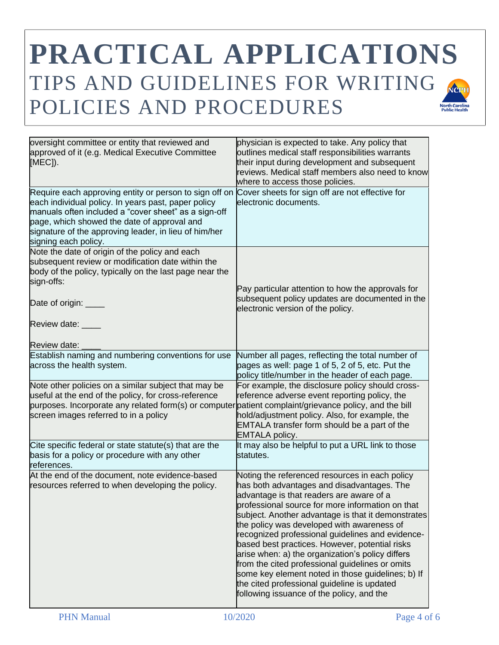| oversight committee or entity that reviewed and<br>approved of it (e.g. Medical Executive Committee<br>[MEC]).                                                                                                                                                                                        | physician is expected to take. Any policy that<br>outlines medical staff responsibilities warrants<br>their input during development and subsequent<br>reviews. Medical staff members also need to know<br>where to access those policies.                                                                                                                                                                                                                                                                                                                                                                                                                     |
|-------------------------------------------------------------------------------------------------------------------------------------------------------------------------------------------------------------------------------------------------------------------------------------------------------|----------------------------------------------------------------------------------------------------------------------------------------------------------------------------------------------------------------------------------------------------------------------------------------------------------------------------------------------------------------------------------------------------------------------------------------------------------------------------------------------------------------------------------------------------------------------------------------------------------------------------------------------------------------|
| Require each approving entity or person to sign off on<br>each individual policy. In years past, paper policy<br>manuals often included a "cover sheet" as a sign-off<br>page, which showed the date of approval and<br>signature of the approving leader, in lieu of him/her<br>signing each policy. | Cover sheets for sign off are not effective for<br>electronic documents.                                                                                                                                                                                                                                                                                                                                                                                                                                                                                                                                                                                       |
| Note the date of origin of the policy and each<br>subsequent review or modification date within the<br>body of the policy, typically on the last page near the<br>sign-offs:<br>Date of origin: ____                                                                                                  | Pay particular attention to how the approvals for<br>subsequent policy updates are documented in the<br>electronic version of the policy.                                                                                                                                                                                                                                                                                                                                                                                                                                                                                                                      |
| Review date: ____<br>Review date:                                                                                                                                                                                                                                                                     |                                                                                                                                                                                                                                                                                                                                                                                                                                                                                                                                                                                                                                                                |
| Establish naming and numbering conventions for use<br>across the health system.                                                                                                                                                                                                                       | Number all pages, reflecting the total number of<br>pages as well: page 1 of 5, 2 of 5, etc. Put the<br>policy title/number in the header of each page.                                                                                                                                                                                                                                                                                                                                                                                                                                                                                                        |
| Note other policies on a similar subject that may be<br>useful at the end of the policy, for cross-reference<br>purposes. Incorporate any related form(s) or computer<br>screen images referred to in a policy                                                                                        | For example, the disclosure policy should cross-<br>reference adverse event reporting policy, the<br>patient complaint/grievance policy, and the bill<br>hold/adjustment policy. Also, for example, the<br>EMTALA transfer form should be a part of the<br><b>EMTALA</b> policy.                                                                                                                                                                                                                                                                                                                                                                               |
| Cite specific federal or state statute(s) that are the<br>basis for a policy or procedure with any other<br>references.                                                                                                                                                                               | It may also be helpful to put a URL link to those<br>statutes.                                                                                                                                                                                                                                                                                                                                                                                                                                                                                                                                                                                                 |
| At the end of the document, note evidence-based<br>resources referred to when developing the policy.                                                                                                                                                                                                  | Noting the referenced resources in each policy<br>has both advantages and disadvantages. The<br>advantage is that readers are aware of a<br>professional source for more information on that<br>subject. Another advantage is that it demonstrates<br>the policy was developed with awareness of<br>recognized professional guidelines and evidence-<br>based best practices. However, potential risks<br>arise when: a) the organization's policy differs<br>from the cited professional guidelines or omits<br>some key element noted in those guidelines; b) If<br>the cited professional guideline is updated<br>following issuance of the policy, and the |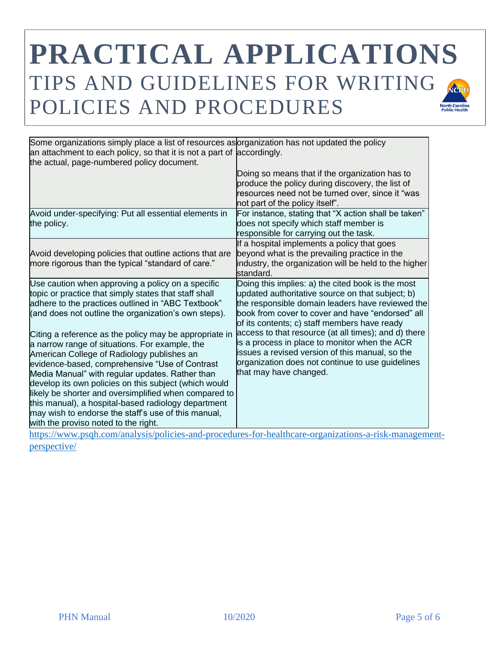| Some organizations simply place a list of resources as organization has not updated the policy<br>an attachment to each policy, so that it is not a part of accordingly.                                                                                                                        |
|-------------------------------------------------------------------------------------------------------------------------------------------------------------------------------------------------------------------------------------------------------------------------------------------------|
| Doing so means that if the organization has to<br>produce the policy during discovery, the list of<br>resources need not be turned over, since it "was<br>not part of the policy itself".                                                                                                       |
| For instance, stating that "X action shall be taken"<br>does not specify which staff member is<br>responsible for carrying out the task.                                                                                                                                                        |
| If a hospital implements a policy that goes<br>beyond what is the prevailing practice in the<br>industry, the organization will be held to the higher<br>standard.                                                                                                                              |
| Doing this implies: a) the cited book is the most<br>updated authoritative source on that subject; b)<br>the responsible domain leaders have reviewed the<br>book from cover to cover and have "endorsed" all<br>of its contents; c) staff members have ready                                   |
| access to that resource (at all times); and d) there<br>is a process in place to monitor when the ACR<br>issues a revised version of this manual, so the<br>organization does not continue to use guidelines<br>that may have changed.<br>likely be shorter and oversimplified when compared to |
|                                                                                                                                                                                                                                                                                                 |

-procedures-for-healthcare-organizations-a-risk-management[perspective/](https://www.psqh.com/analysis/policies-and-procedures-for-healthcare-organizations-a-risk-management-perspective/)